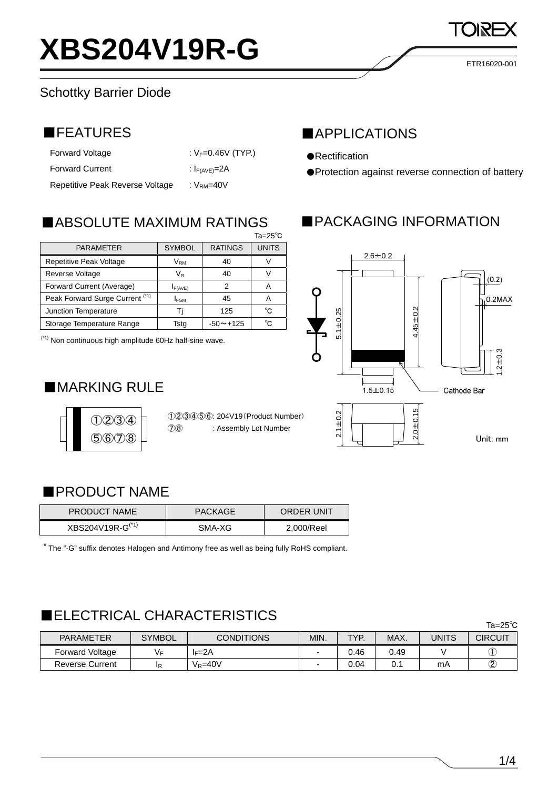### Schottky Barrier Diode

| <b>Forward Voltage</b>          | : $V_F = 0.46V$ (TYP.) |
|---------------------------------|------------------------|
| <b>Forward Current</b>          | : $I_{F(AVE)}=2A$      |
| Repetitive Peak Reverse Voltage | : $VRM=40V$            |

 $Ta = 25^\circ \text{C}$ 

■ABSOLUTE MAXIMUM RATINGS

Repetitive Peak Voltage  $V_{\text{RM}}$  40 V Reverse Voltage  $V_R$   $V_R$  40 V Forward Current (Average)  $I_{F(AVE)}$  | 2 | A Peak Forward Surge Current  $(1)$   $\begin{array}{|c|c|c|c|c|c|c|c|} \hline \end{array}$  45 A Junction Temperature | Tj | 125 | ℃ Storage Temperature Range  $\parallel$  Tstg | -50~+125 | ℃

PARAMETER | SYMBOL RATINGS UNITS

### ■FEATURES ■APPLICATIONS

- ●Rectification
- ●Protection against reverse connection of battery

ETR16020-001

# ■PACKAGING INFORMATION



### $(1)(2)(3)(4)$  $(5)(6)(7)(8)$

■MARKING RULE

(\*1) Non continuous high amplitude 60Hz half-sine wave.

①②③④⑤⑥: 204V19(Product Number) ⑦⑧ : Assembly Lot Number

### ■PRODUCT NAME

| <b>PRODUCT NAME</b>          | <b>PACKAGE</b> | <b>ORDER UNIT</b> |
|------------------------------|----------------|-------------------|
| XBS204V19R-G <sup>(*1)</sup> | SMA-XG         | 2.000/Reel        |

\* The "-G" suffix denotes Halogen and Antimony free as well as being fully RoHS compliant.

# ■ELECTRICAL CHARACTERISTICS

|                        |               |                   |      |      |      |       | Ta=25 $^{\circ}$ C |
|------------------------|---------------|-------------------|------|------|------|-------|--------------------|
| <b>PARAMETER</b>       | <b>SYMBOL</b> | <b>CONDITIONS</b> | MIN. | TYP. | MAX. | UNITS | <b>CIRCUIT</b>     |
| Forward Voltage        | V⊧            | $I_F = 2A$        |      | 0.46 | 0.49 |       |                    |
| <b>Reverse Current</b> | 1R            | $V_R = 40V$       | -    | 0.04 | 0.1  | mA    | Q                  |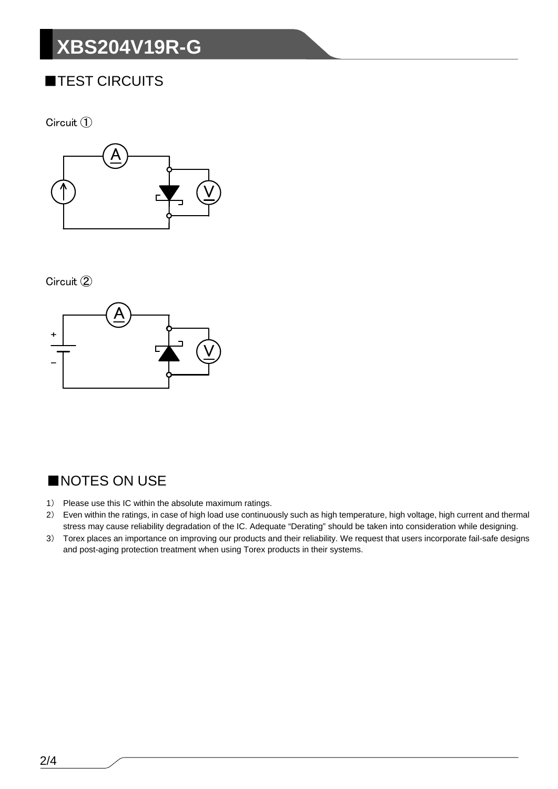# **XBS204V19R-G**

# ■TEST CIRCUITS

Circuit 1



Circuit 2



# ■NOTES ON USE

- 1) Please use this IC within the absolute maximum ratings.
- 2) Even within the ratings, in case of high load use continuously such as high temperature, high voltage, high current and thermal stress may cause reliability degradation of the IC. Adequate "Derating" should be taken into consideration while designing.
- 3) Torex places an importance on improving our products and their reliability. We request that users incorporate fail-safe designs and post-aging protection treatment when using Torex products in their systems.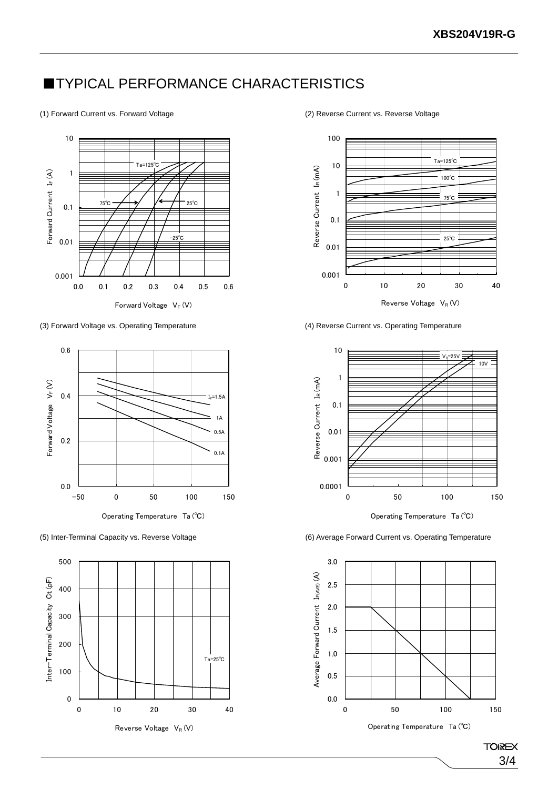### **■TYPICAL PERFORMANCE CHARACTERISTICS**

#### (1) Forward Current vs. Forward Voltage (2) Reverse Current vs. Reverse Voltage









(3) Forward Voltage vs. Operating Temperature (4) Reverse Current vs. Operating Temperature



Operating Temperature Ta (℃)

(5) Inter-Terminal Capacity vs. Reverse Voltage (6) Average Forward Current vs. Operating Temperature



**TOIREX** 3/4